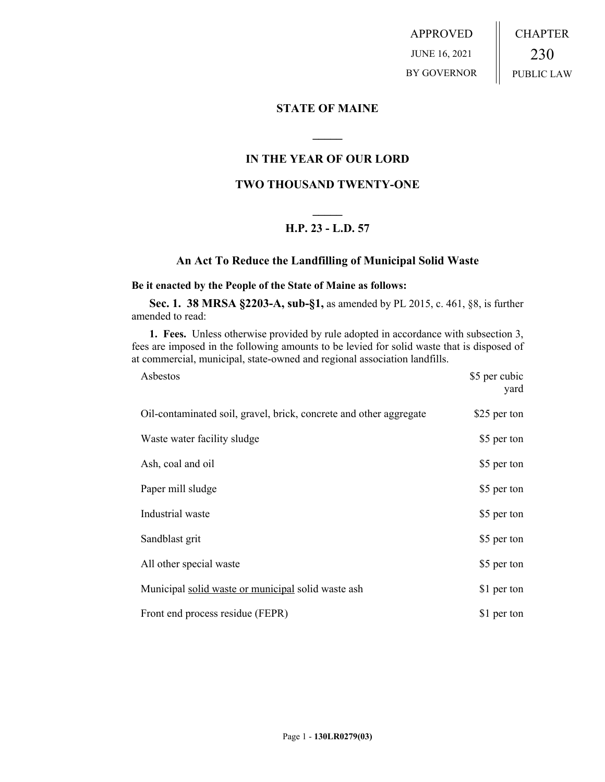APPROVED JUNE 16, 2021 BY GOVERNOR CHAPTER 230 PUBLIC LAW

## **STATE OF MAINE**

# **IN THE YEAR OF OUR LORD**

**\_\_\_\_\_**

# **TWO THOUSAND TWENTY-ONE**

# **\_\_\_\_\_ H.P. 23 - L.D. 57**

## **An Act To Reduce the Landfilling of Municipal Solid Waste**

#### **Be it enacted by the People of the State of Maine as follows:**

**Sec. 1. 38 MRSA §2203-A, sub-§1,** as amended by PL 2015, c. 461, §8, is further amended to read:

**1. Fees.** Unless otherwise provided by rule adopted in accordance with subsection 3, fees are imposed in the following amounts to be levied for solid waste that is disposed of at commercial, municipal, state-owned and regional association landfills.

| Asbestos                                                           | \$5 per cubic<br>yard |
|--------------------------------------------------------------------|-----------------------|
| Oil-contaminated soil, gravel, brick, concrete and other aggregate | \$25 per ton          |
| Waste water facility sludge                                        | \$5 per ton           |
| Ash, coal and oil                                                  | \$5 per ton           |
| Paper mill sludge                                                  | \$5 per ton           |
| Industrial waste                                                   | \$5 per ton           |
| Sandblast grit                                                     | \$5 per ton           |
| All other special waste                                            | \$5 per ton           |
| Municipal solid waste or municipal solid waste ash                 | \$1 per ton           |
| Front end process residue (FEPR)                                   | \$1 per ton           |